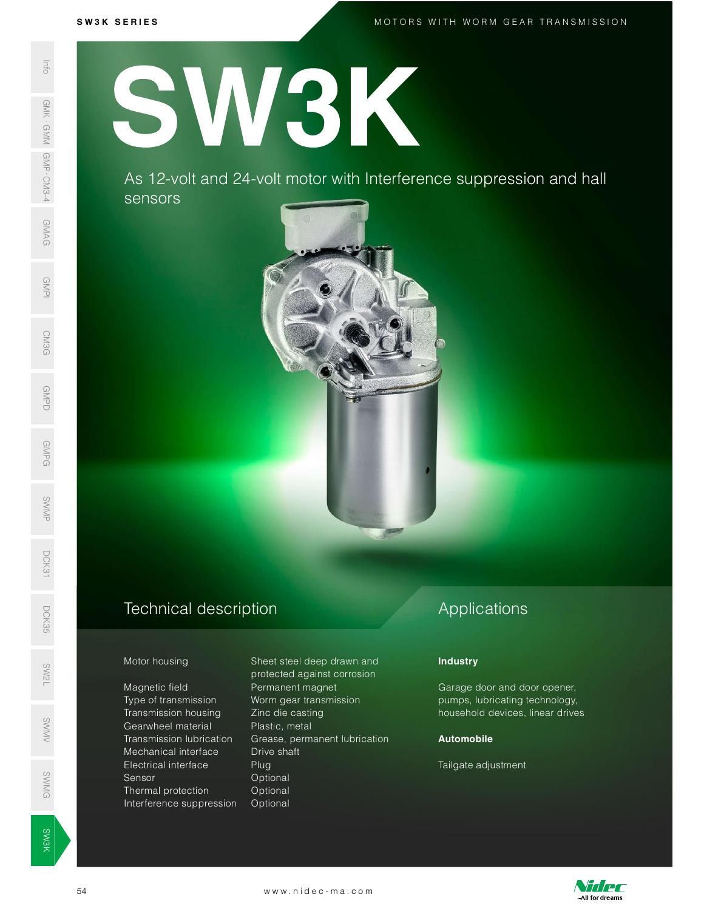M O T O R S W I T H W O R M G E A R T R A N S M I S S I O N

SW<br>No. 1986<br>No. 1986

**SW3K** 

S W 3 K S E R I E S<br>N 3 K S E R I E S<br>N 3 K S E R I E S S H S A S H S A S H S A S H S A S H S A S H S A S H S A S H S A S H S A S H S A S H S A S H SW3K

> As 12-volt and 24-volt motor with Interference suppression and hall sensors



## Technical description D<sub>CK</sub><br>35<br>55

Magnetic field **Permanent magnet** Type of transmission Worm gear transmission Transmission housing Zinc die casting s<br>
Gearwheel material in Plastic, metal<br>
Transmission lubrication Grease bermanent lu Mechanical interface Drive shaft Electrical interface Plug Sensor Optional ©<br>
Sensor Coptional<br>
SMG Defined protection Optional Interference suppression Optional SWAS 12-VC<br>
SERIES AS 12-VC<br>
SERIES AS 12-VC<br>
SERIES AS 12-VC<br>
SERIES AS 12-VC<br>
SERIES AS 12-VC<br>
Motor housing<br>
Magnetic field<br>
Transmission<br>
Transmission<br>
Transmission<br>
Mechanical interference s<br>
Series Transmission<br>
Elec

Motor housing Sheet steel deep drawn and protected against corrosion Transmission lubrication Grease, permanent lubrication Mechanical interface Drive shaft<br>
Electrical interface Plug<br>
Sensor Optional<br>
Thermal protection Optional<br>
Interference suppression Optional<br>
Start William Continued Continued interference suppression Optional<br>
Start Willi

# Applications

### **Industry**

Garage door and door opener, pumps, lubricating technology, household devices, linear drives

### Automobile

Tailgate adjustment